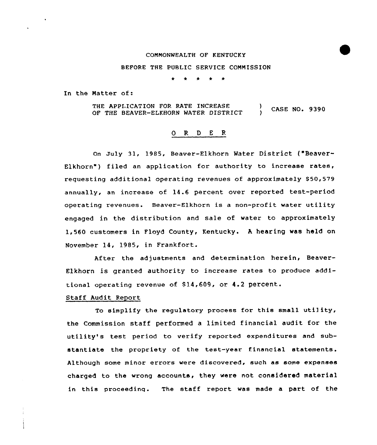#### COMMONWEALTH OF KENTUCKY

# BEFORE THE PUBLIC SERVICE COMMISSION

In the Matter of:

THE APPI.ICATION FOR RATE INCREASE OF THE BEAVER-ELKHORN WATER DISTRICT ) CASE NO. 9390

# 0 R <sup>D</sup> <sup>E</sup> <sup>R</sup>

on July 31, 1985, Beaver-Elkhorn Water District ("Beaver-Elkhorn") filed an application for authority to increase rates, requesting additional operating revenues of approximately \$50,579 annually, an increase of 14.6 percent over reported test-period operating revenues. Beaver-Elkhorn is a non-profit water utility engaged in the distribution and sale of water to approximately 1,560 customers in Floyd County, Kentucky. <sup>A</sup> hearing was held on November 14, 1985, in Frankfort.

After the adjustments and determination herein, Beaver-Elkhorn is granted authority to increase rates to produce additional operating revenue of 814,609, or 4.2 percent.

## Staff Audit Report

To simplify the regulatory process for this small utility, the Commission staff performed a limited financial audit for the utility's test period to verify reported expenditures and substantiate the propriety of the test-year financial statements. Although some minor errors were discovered, such as some expenses charged to the wrong accounts, they were not considered material in this proceedinq. The staff report was made a part of the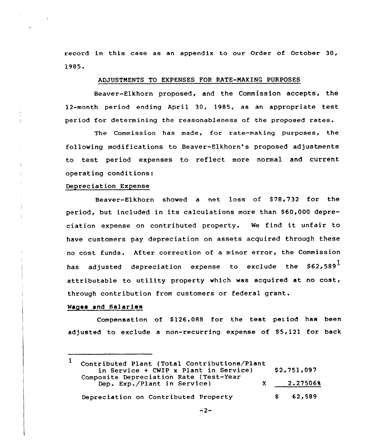record in this case as an appendix to our Order of October 30, 1985.

#### ADJUSTMENTS TO EXPENSES FOR RATE-MAKING PURPOSES

Beaver-Elkhorn proposed, and the Commission accepts, the 12-month period ending April 30, 1985, as an appropriate test period for determining the reasonableness of the proposed rates.

The Commission has made, for rate-making purposes, the following modifications to Beaver-Elkhorn's proposed adjustments to test period expenses to reflect more normal and current operating conditions:

## Depreciation Expense

Beaver-Elkhorn showed a net loss of \$78,732 for the period, but included in its calculations more than \$60,000 depreciation expense on contributed property. Ne find it unfair to have customers pay depreciation on assets acquired through these no cost funds. After correction of a minor error, the Commission has adjusted depreciation expense to exclude the  $$62,589<sup>1</sup>$ attributable to utility property which was acquired at no cost, through contribution from customers or federal grant.

### Nagaa and Sa)aries

Compensation of \$126,088 for the test period has been adjusted to exclude a non-recurring expense of  $$5,121$  for back

<sup>1</sup> Contributed Plant (Total Contributions/Plant in Service + CNIP x Plant in Service) \$ 2,751,097 Composite Depreciation Rate (Test-Year Dep. Exp./Plant in Service) <sup>X</sup> 2.275068 2.27506'%2,589 $\mathsf{s}$ 62,589 Depreciation on Contributed Property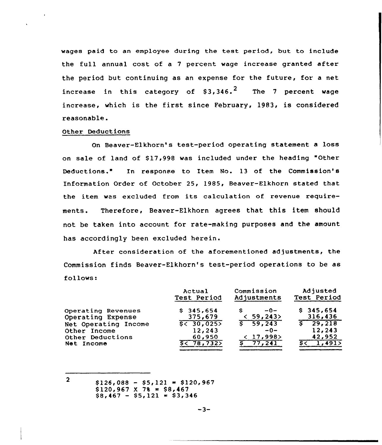wages paid to an employee during the test period, but to include the full annual cost of a <sup>7</sup> percent wage increase granted after the period but continuing as an expense for the future, for a net increase in this category of \$3,346. $^{\sf 2}$  The 7 percent wage increase, which is the first since February, 1983, is considered reasonable.

#### Other Deductions

On Beaver-Elkhorn's test-period operating statement a loss on sale of land of \$17,998 was included under the heading "Other Deductions." In response to Item No. 13 of the Commission's Information Order of October 25, 1985, Beaver-Elkhorn stated that the item was excluded from its calculation of revenue requirements. Therefore, Beaver-Elkhorn agrees that this item should not be taken into account for rate-making purposes and the amount has accordingly been excluded herein.

After consideration of the aforementioned adjustments, the Commission finds Beaver-Elkhorn's test-period operations to be as follows:

|                                         | Actual               | Commission           | Adjusted              |  |
|-----------------------------------------|----------------------|----------------------|-----------------------|--|
|                                         | Test Period          | Adjustments          | Test Period           |  |
| Operating Revenues<br>Operating Expense | \$345.654<br>375,679 | $-0-$<br>s<br>59,243 | \$345,654<br>316,436  |  |
| Net Operating Income                    | 5 < 30,025           | 5, 59, 243           | $\overline{S}$ 29,218 |  |
| Other Income                            | 12,243               | $-0-$                | 12,243                |  |
| Other Deductions                        | 60,950               | < 17,998             | 42,952                |  |
| Net Income                              | 5< 78,732            | 77.241               | 1,491                 |  |

 $2<sup>1</sup>$  $$126,088 - $5,121 = $120,967$  $$120,967 \times 78 = $8,467$  $$8,467 - $5,121 = $3,346$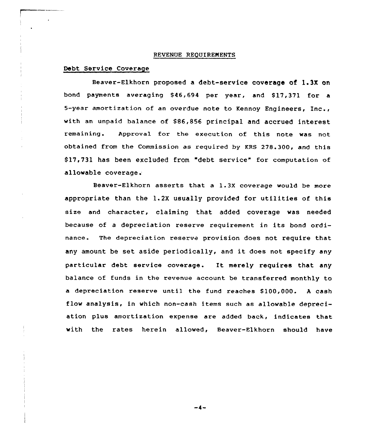## REVENUE REQUIREMENTS

# Debt Service Coverage

Beaver-Elkhorn proposed a debt-service coverage of 1.3X on bond payments averaging \$ 46,694 per year, and \$ 17,371 for a 5-year amortization of an overdue note to Kennoy Engineers, Inc., with an unpaid balance of \$86,856 principal and accrued interest remaining. Approval for the execution of this note was not obtained from the Commission as required by KRS 278.300, and this \$ 17,731 has been excluded from "debt service" for computation of allowable coverage.

Beaver-Elkhorn asserts that a 1.3X coverage would be more appropriate than the 1.2X usually provided for utilities of this size and character, claiming that added coverage was needed because of <sup>a</sup> depreciation reserve requirement in its bond ordinance. The depreciation reserve provision does not require that any amount be set aside periodically, and it does not specify any particular debt service coverage. It merely requires that any balance of funds in the revenue account be transferred monthly to a depreciation reserve until the fund reaches \$100,000. A cash flow analysis, in which non-cash items such as allowable depreciation plus amortization expense are added back, indicates that with the rates herein allowed, Beaver-Elkhorn should have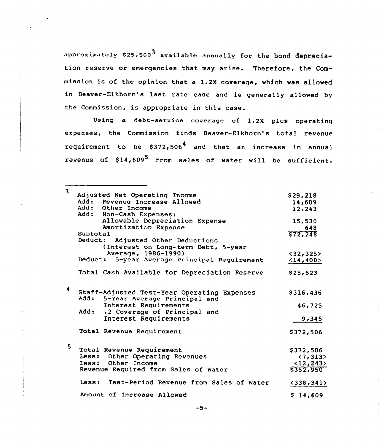approximately  $$25,500^3$  available annually for the bond depreciation reserve or emergencies that may arise. Therefore, the Commission is of the opinion that a 1.2X coverage, which was allowed in Beaver-Elkhorn's last rate case and is generally allowed by the Commission, is appropriate in this case.

Using a debt-service coverage of 1.2X plus operating expenses, the Commission finds Beaver-Elkhorn's total revenue requirement to be  $$372,506<sup>4</sup>$  and that an increase in annual revenue of  $$14,609^5$  from sales of water will be sufficient.

| 3 |                                                    |              |
|---|----------------------------------------------------|--------------|
|   | Adjusted Net Operating Income                      | \$29,218     |
|   | Add: Revenue Increase Allowed<br>Add: Other Income | 14,609       |
|   | Add: Non-Cash Expenses:                            | 12,243       |
|   | Allowable Depreciation Expense                     |              |
|   |                                                    | 15,530       |
|   | Amortization Expense                               | 648          |
|   | Subtotal                                           | \$72,248     |
|   | Deduct: Adjusted Other Deductions                  |              |
|   | (Interest on Long-term Debt, 5-year                |              |
|   | Average, 1986-1990)                                | $<$ 32,325>  |
|   | Deduct: 5-year Average Principal Requirement       | <14,400>     |
|   | Total Cash Available for Depreciation Reserve      | \$25,523     |
| 4 |                                                    |              |
|   | Staff-Adjusted Test-Year Operating Expenses        | \$316,436    |
|   | Add:<br>5-Year Average Principal and               |              |
|   | Interest Requirements                              | 46,725       |
|   | .2 Coverage of Principal and<br>Add:               |              |
|   | Interest Requirements                              | 9,345        |
|   | Total Revenue Requirement                          | \$372,506    |
| 5 |                                                    |              |
|   | Total Revenue Requirement                          | \$372,506    |
|   | Less: Other Operating Revenues                     | < 7, 313     |
|   | Less: Other Income                                 | <12,243>     |
|   | Revenue Required from Sales of Water               | \$352,950    |
|   | Less: Test-Period Revenue from Sales of Water      | $<$ 338,341> |
|   | Amount of Increase Allowed                         | \$14,609     |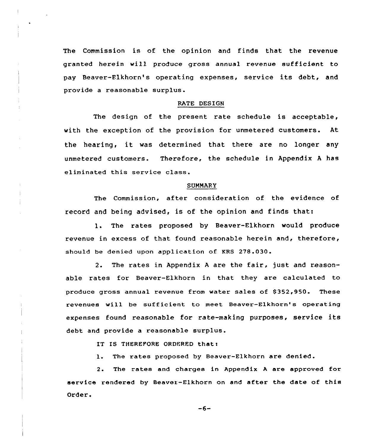The Commission is of the opinion and finds that the revenue granted herein will produce gross annual revenue sufficient to pay Beaver-Flkhorn's operating expenses, service its debt, and provide a reasonable surplus.

#### RATE DESIGN

The design of the present rate schedule is acceptable, with the exception of the provision for unmetered customers. At the hearing, it was determined that there are no longer any unmetered customers. Therefore, the schedule in Appendix <sup>A</sup> has eliminated this service class.

#### **SUMMARY**

The Commission, after consideration of the evidence of record and being advised, is of the opinion and finds that:

1. The rates proposed by Beaver-Elkhorn would produce revenue in excess of that found reasonable herein and, therefore, should be denied upon application of KRS 278.030

The rates in Appendix <sup>A</sup> are the fair, just and reason- $2.$ able rates for Beaver-Elkhorn in that they are calculated to produce gross annual revenue from water sales of \$ 352,950. These revenues will be sufficient to meet Beaver-Elkhorn's operating expenses found reasonable for rate-making purposes, service its debt and provide a reasonable surplus.

IT IS THEREPORE ORDERED that:

l. The rates proposed by Beaver-Elkhorn are denied.

2. The rates and charges in Appendix <sup>A</sup> are approved for service rendered by Beaver-Elkhorn on and after the date of this Order.

 $-6-$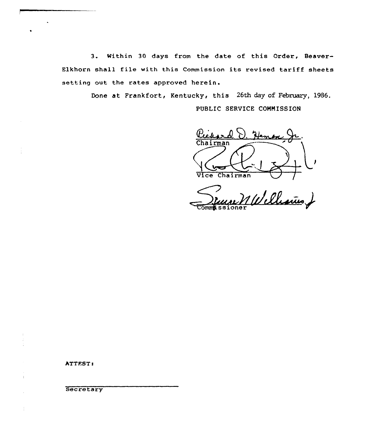3. Within 30 days from the date of this Order, Beaver-Elkhorn shall file with this Commission its revised tariff sheets setting out the rates approved herein.

> Done at Frankfort, Kentucky, this 26th day of February, 1986. PUBLIC SERVICE COHNISSION

Hemos Chairman Vice Chairman

man VI<br>MWellesius J

ATTEST:

 $\ddot{\phantom{a}}$ 

 $\frac{1}{2}$ 

 $\ddot{\phantom{a}}$ 

**Secretary**